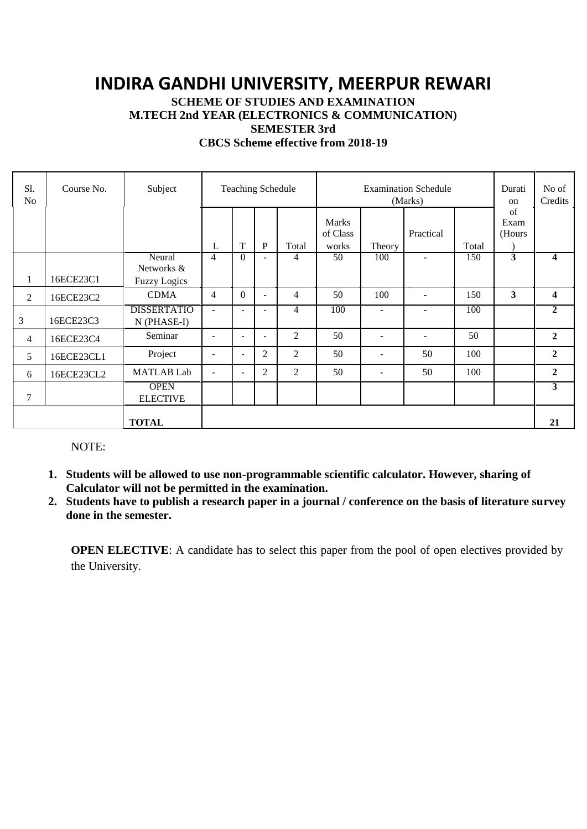# **INDIRA GANDHI UNIVERSITY, MEERPUR REWARI**

**SCHEME OF STUDIES AND EXAMINATION**

**M.TECH 2nd YEAR (ELECTRONICS & COMMUNICATION)**

**SEMESTER 3rd**

**CBCS Scheme effective from 2018-19**

| S1.<br>N <sub>o</sub> | Course No. | Subject                           | <b>Teaching Schedule</b> |                          |                          | <b>Examination Schedule</b><br>(Marks) |                                   |                          |           | Durati<br>on | No of<br>Credits           |                         |
|-----------------------|------------|-----------------------------------|--------------------------|--------------------------|--------------------------|----------------------------------------|-----------------------------------|--------------------------|-----------|--------------|----------------------------|-------------------------|
|                       |            |                                   | L                        | T                        | P                        | Total                                  | <b>Marks</b><br>of Class<br>works | Theory                   | Practical | Total        | $\sigma$<br>Exam<br>(Hours |                         |
|                       |            | Neural<br>Networks &              | 4                        | $\Omega$                 |                          | 4                                      | 50                                | 100                      |           | 150          | 3                          | $\overline{\mathbf{4}}$ |
| $\mathbf{1}$          | 16ECE23C1  | <b>Fuzzy Logics</b>               |                          |                          |                          |                                        |                                   |                          |           |              |                            |                         |
| $\overline{2}$        | 16ECE23C2  | <b>CDMA</b>                       | $\overline{4}$           | $\theta$                 | $\blacksquare$           | $\overline{4}$                         | 50                                | 100                      | ÷.        | 150          | 3                          | $\boldsymbol{4}$        |
| 3                     | 16ECE23C3  | <b>DISSERTATIO</b><br>N (PHASE-I) | ٠                        |                          |                          | 4                                      | 100                               |                          | ٠         | 100          |                            | $\overline{2}$          |
| $\overline{4}$        | 16ECE23C4  | Seminar                           | $\overline{\phantom{a}}$ | $\overline{\phantom{a}}$ | $\overline{\phantom{a}}$ | 2                                      | 50                                | $\overline{\phantom{0}}$ | $\equiv$  | 50           |                            | $\overline{2}$          |
| 5                     | 16ECE23CL1 | Project                           | $\overline{\phantom{a}}$ | $\overline{\phantom{a}}$ | $\overline{c}$           | 2                                      | 50                                | $\overline{\phantom{a}}$ | 50        | 100          |                            | $\mathbf{2}$            |
| 6                     | 16ECE23CL2 | <b>MATLAB</b> Lab                 | $\overline{\phantom{a}}$ | $\overline{\phantom{a}}$ | $\overline{c}$           | 2                                      | 50                                | $\overline{a}$           | 50        | 100          |                            | $\mathbf{2}$            |
| 7                     |            | <b>OPEN</b><br><b>ELECTIVE</b>    |                          |                          |                          |                                        |                                   |                          |           |              |                            | $\overline{3}$          |
|                       |            | <b>TOTAL</b>                      |                          |                          |                          |                                        |                                   |                          |           |              |                            | 21                      |

NOTE:

- **1. Students will be allowed to use non-programmable scientific calculator. However, sharing of Calculator will not be permitted in the examination.**
- **2. Students have to publish a research paper in a journal / conference on the basis of literature survey done in the semester.**

**OPEN ELECTIVE:** A candidate has to select this paper from the pool of open electives provided by the University.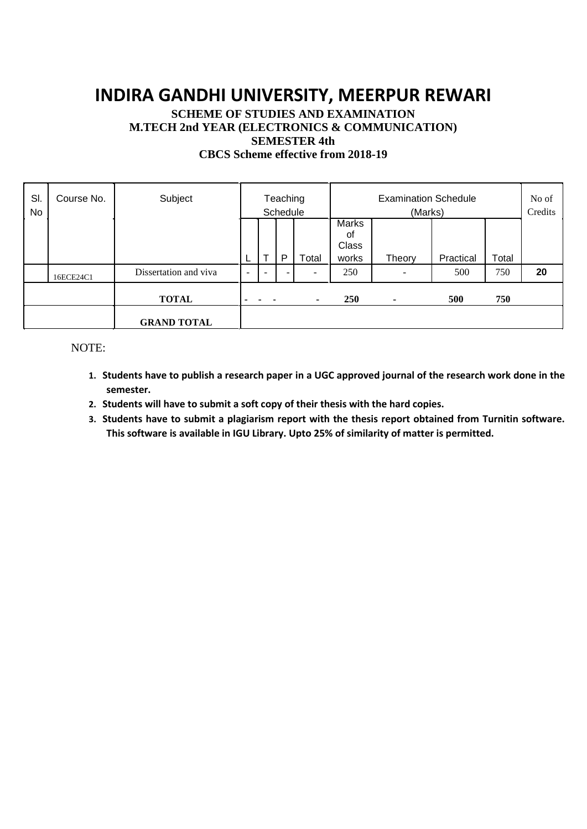# **INDIRA GANDHI UNIVERSITY, MEERPUR REWARI**

## **SCHEME OF STUDIES AND EXAMINATION M.TECH 2nd YEAR (ELECTRONICS & COMMUNICATION) SEMESTER 4th**

| <b>CBCS</b> Scheme effective from 2018-19 |  |  |  |
|-------------------------------------------|--|--|--|
|-------------------------------------------|--|--|--|

| SI.<br>No | Course No. | Subject               | Teaching<br>Schedule     |                          |                          |                          | <b>Examination Schedule</b><br>(Marks) |                |           |       | No of<br>Credits |
|-----------|------------|-----------------------|--------------------------|--------------------------|--------------------------|--------------------------|----------------------------------------|----------------|-----------|-------|------------------|
|           |            |                       |                          |                          |                          |                          | <b>Marks</b><br>οf                     |                |           |       |                  |
|           |            |                       | <b>L</b>                 | $\mathbf \tau$           | P                        | Total                    | <b>Class</b><br>works                  | Theory         | Practical | Total |                  |
|           | 16ECE24C1  | Dissertation and viva | $\overline{\phantom{0}}$ | $\overline{\phantom{a}}$ | $\overline{\phantom{a}}$ | $\overline{\phantom{a}}$ | 250                                    |                | 500       | 750   | 20               |
|           |            | <b>TOTAL</b>          |                          |                          |                          | $\sim$                   | <b>250</b>                             | $\blacksquare$ | 500       | 750   |                  |
|           |            | <b>GRAND TOTAL</b>    |                          |                          |                          |                          |                                        |                |           |       |                  |

### NOTE:

- **1. Students have to publish a research paper in a UGC approved journal of the research work done in the semester.**
- **2. Students will have to submit a soft copy of their thesis with the hard copies.**
- **3. Students have to submit a plagiarism report with the thesis report obtained from Turnitin software. This software is available in IGU Library. Upto 25% of similarity of matter is permitted.**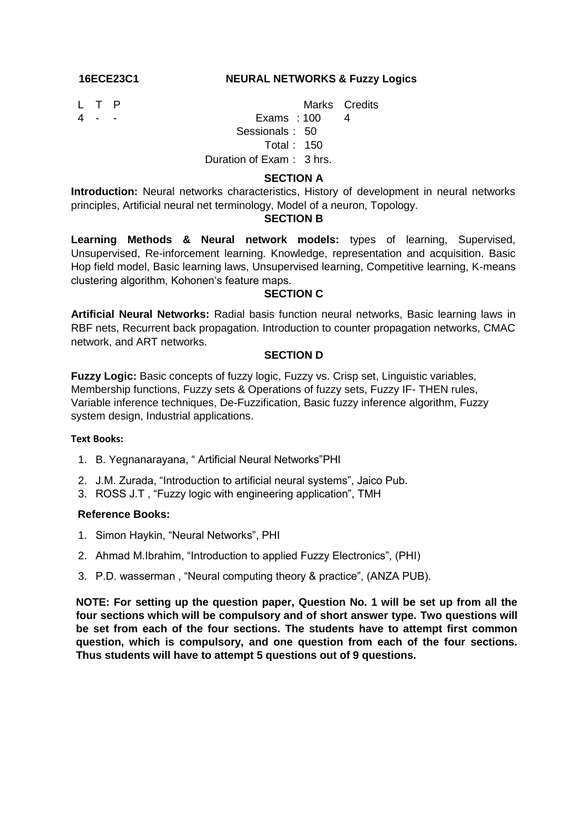#### **16ECE23C1 NEURAL NETWORKS & Fuzzy Logics**

- 
- 

L T P Marks Credits

4 - - Exams : 100 4 Sessionals : 50

Total : 150

## Duration of Exam : 3 hrs.

### **SECTION A**

**Introduction:** Neural networks characteristics, History of development in neural networks principles, Artificial neural net terminology, Model of a neuron, Topology.

#### **SECTION B**

**Learning Methods & Neural network models:** types of learning, Supervised, Unsupervised, Re-inforcement learning. Knowledge, representation and acquisition. Basic Hop field model, Basic learning laws, Unsupervised learning, Competitive learning, K-means clustering algorithm, Kohonen's feature maps.

#### **SECTION C**

**Artificial Neural Networks:** Radial basis function neural networks, Basic learning laws in RBF nets, Recurrent back propagation. Introduction to counter propagation networks, CMAC network, and ART networks.

### **SECTION D**

**Fuzzy Logic:** Basic concepts of fuzzy logic, Fuzzy vs. Crisp set, Linguistic variables, Membership functions, Fuzzy sets & Operations of fuzzy sets, Fuzzy IF- THEN rules, Variable inference techniques, De-Fuzzification, Basic fuzzy inference algorithm, Fuzzy system design, Industrial applications.

#### **Text Books:**

- 1. B. Yegnanarayana, " Artificial Neural Networks"PHI
- 2. J.M. Zurada, "Introduction to artificial neural systems", Jaico Pub.
- 3. ROSS J.T , "Fuzzy logic with engineering application", TMH

#### **Reference Books:**

- 1. Simon Haykin, "Neural Networks", PHI
- 2. Ahmad M.Ibrahim, "Introduction to applied Fuzzy Electronics", (PHI)
- 3. P.D. wasserman , "Neural computing theory & practice", (ANZA PUB).

**NOTE: For setting up the question paper, Question No. 1 will be set up from all the four sections which will be compulsory and of short answer type. Two questions will be set from each of the four sections. The students have to attempt first common question, which is compulsory, and one question from each of the four sections. Thus students will have to attempt 5 questions out of 9 questions.**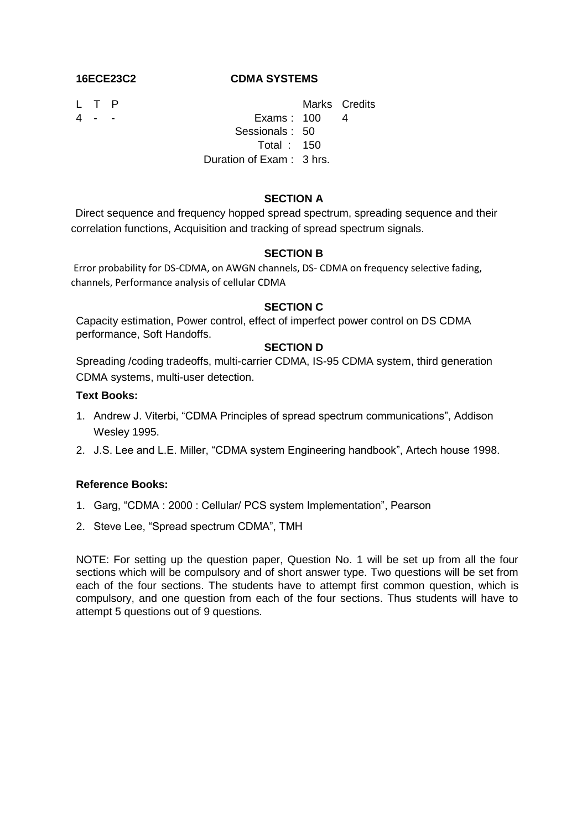### **16ECE23C2 CDMA SYSTEMS**

- 
- 

L T P Marks Credits 4 - - Exams : 100 4 Sessionals : 50 Total : 150 Duration of Exam : 3 hrs.

#### **SECTION A**

Direct sequence and frequency hopped spread spectrum, spreading sequence and their correlation functions, Acquisition and tracking of spread spectrum signals.

#### **SECTION B**

Error probability for DS-CDMA, on AWGN channels, DS- CDMA on frequency selective fading, channels, Performance analysis of cellular CDMA

#### **SECTION C**

Capacity estimation, Power control, effect of imperfect power control on DS CDMA performance, Soft Handoffs.

#### **SECTION D**

Spreading /coding tradeoffs, multi-carrier CDMA, IS-95 CDMA system, third generation CDMA systems, multi-user detection.

#### **Text Books:**

- 1. Andrew J. Viterbi, "CDMA Principles of spread spectrum communications", Addison Wesley 1995.
- 2. J.S. Lee and L.E. Miller, "CDMA system Engineering handbook", Artech house 1998.

#### **Reference Books:**

- 1. Garg, "CDMA : 2000 : Cellular/ PCS system Implementation", Pearson
- 2. Steve Lee, "Spread spectrum CDMA", TMH

NOTE: For setting up the question paper, Question No. 1 will be set up from all the four sections which will be compulsory and of short answer type. Two questions will be set from each of the four sections. The students have to attempt first common question, which is compulsory, and one question from each of the four sections. Thus students will have to attempt 5 questions out of 9 questions.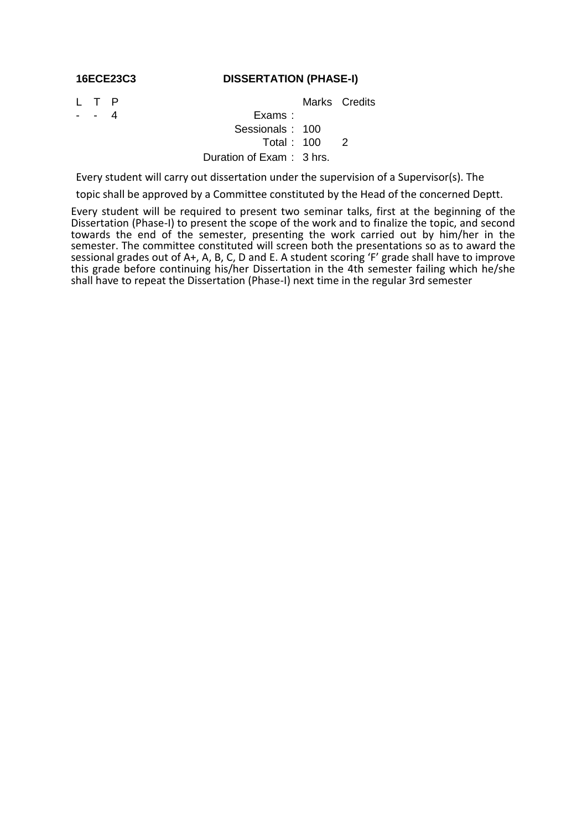#### **16ECE23C3 DISSERTATION (PHASE-I)**

### L T P Marks Credits

### - 4 Exams : Sessionals : 100 Total : 100 2 Duration of Exam : 3 hrs.

Every student will carry out dissertation under the supervision of a Supervisor(s). The

topic shall be approved by a Committee constituted by the Head of the concerned Deptt.

Every student will be required to present two seminar talks, first at the beginning of the Dissertation (Phase-I) to present the scope of the work and to finalize the topic, and second towards the end of the semester, presenting the work carried out by him/her in the semester. The committee constituted will screen both the presentations so as to award the sessional grades out of A+, A, B, C, D and E. A student scoring 'F' grade shall have to improve this grade before continuing his/her Dissertation in the 4th semester failing which he/she shall have to repeat the Dissertation (Phase-I) next time in the regular 3rd semester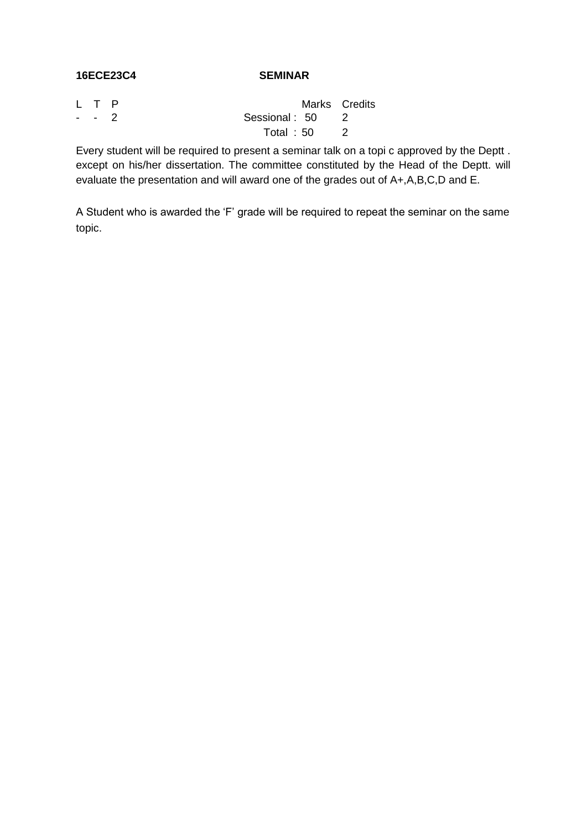#### **16ECE23C4 SEMINAR**

| L T P |                 |             | Marks Credits |
|-------|-----------------|-------------|---------------|
| -- 2  | Sessional: 50 2 |             |               |
|       |                 | Total: 50 2 |               |

Every student will be required to present a seminar talk on a topi c approved by the Deptt . except on his/her dissertation. The committee constituted by the Head of the Deptt. will evaluate the presentation and will award one of the grades out of A+,A,B,C,D and E.

A Student who is awarded the "F" grade will be required to repeat the seminar on the same topic.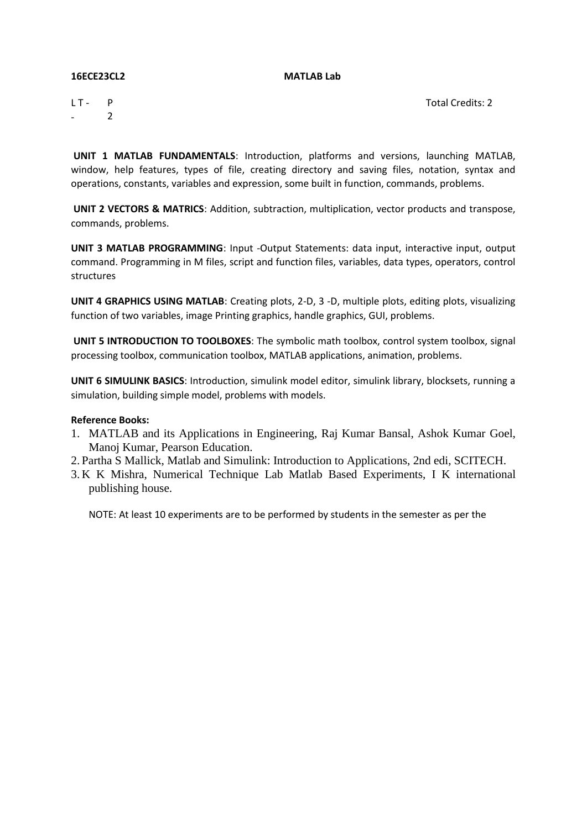#### **16ECE23CL2 MATLAB Lab**

 $LT -$ - P 2 Total Credits: 2

**UNIT 1 MATLAB FUNDAMENTALS**: Introduction, platforms and versions, launching MATLAB, window, help features, types of file, creating directory and saving files, notation, syntax and operations, constants, variables and expression, some built in function, commands, problems.

**UNIT 2 VECTORS & MATRICS**: Addition, subtraction, multiplication, vector products and transpose, commands, problems.

**UNIT 3 MATLAB PROGRAMMING**: Input -Output Statements: data input, interactive input, output command. Programming in M files, script and function files, variables, data types, operators, control structures

**UNIT 4 GRAPHICS USING MATLAB**: Creating plots, 2-D, 3 -D, multiple plots, editing plots, visualizing function of two variables, image Printing graphics, handle graphics, GUI, problems.

**UNIT 5 INTRODUCTION TO TOOLBOXES**: The symbolic math toolbox, control system toolbox, signal processing toolbox, communication toolbox, MATLAB applications, animation, problems.

**UNIT 6 SIMULINK BASICS**: Introduction, simulink model editor, simulink library, blocksets, running a simulation, building simple model, problems with models.

#### **Reference Books:**

- 1. MATLAB and its Applications in Engineering, Raj Kumar Bansal, Ashok Kumar Goel, Manoj Kumar, Pearson Education.
- 2. Partha S Mallick, Matlab and Simulink: Introduction to Applications, 2nd edi, SCITECH.
- 3. K K Mishra, Numerical Technique Lab Matlab Based Experiments, I K international publishing house.

NOTE: At least 10 experiments are to be performed by students in the semester as per the